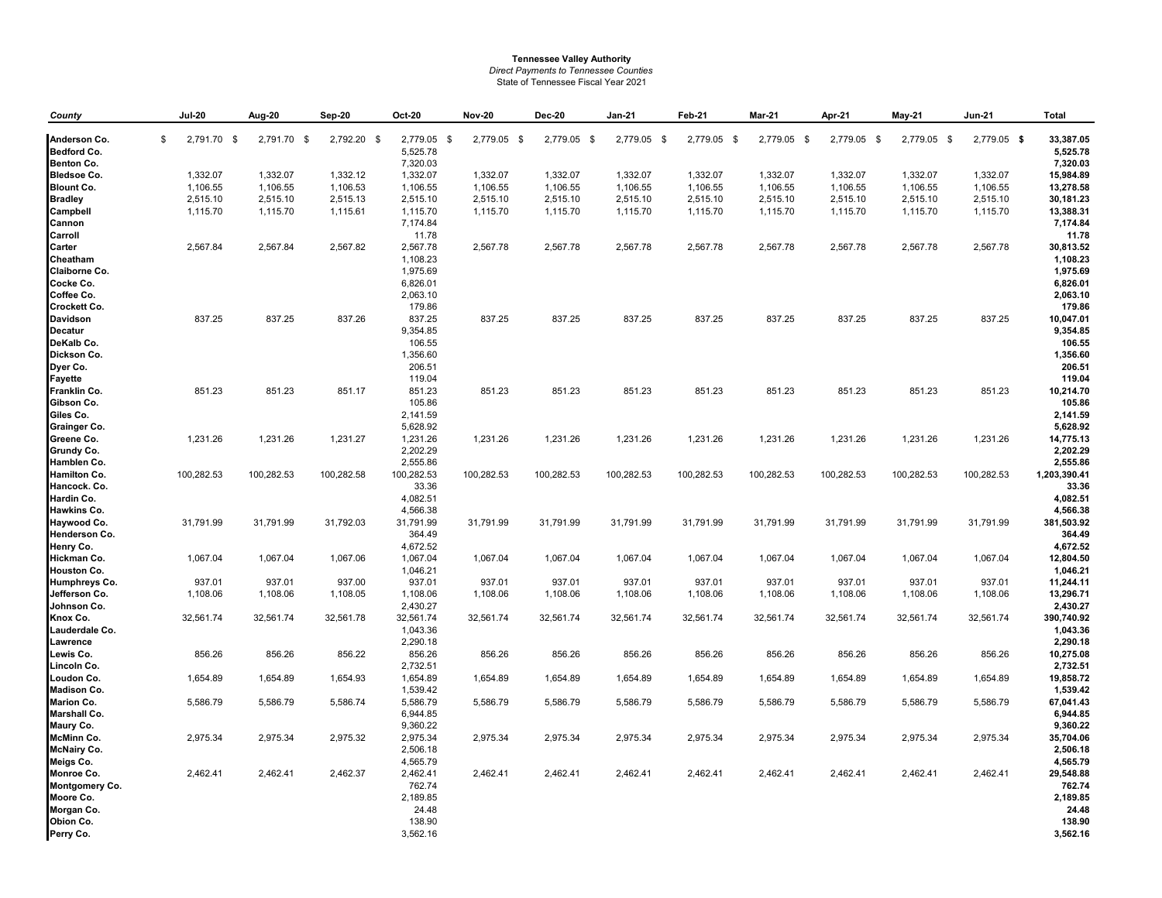## **Tennessee Valley Authority** *Direct Payments to Tennessee Counties* State of Tennessee Fiscal Year 2021

| County                     | <b>Jul-20</b>     | Aug-20      | Sep-20      | <b>Oct-20</b>         | <b>Nov-20</b> | Dec-20      | <b>Jan-21</b> | Feb-21      | Mar-21      | Apr-21      | <b>May-21</b> | <b>Jun-21</b> | Total                  |
|----------------------------|-------------------|-------------|-------------|-----------------------|---------------|-------------|---------------|-------------|-------------|-------------|---------------|---------------|------------------------|
| Anderson Co.               | \$<br>2,791.70 \$ | 2,791.70 \$ | 2,792.20 \$ | 2,779.05 \$           | 2,779.05 \$   | 2,779.05 \$ | 2,779.05 \$   | 2,779.05 \$ | 2,779.05 \$ | 2,779.05 \$ | 2,779.05 \$   | 2,779.05 \$   | 33,387.05              |
| <b>Bedford Co.</b>         |                   |             |             | 5,525.78              |               |             |               |             |             |             |               |               | 5,525.78               |
| <b>Benton Co.</b>          |                   |             |             | 7,320.03              |               |             |               |             |             |             |               |               | 7,320.03               |
| <b>Bledsoe Co.</b>         | 1,332.07          | 1,332.07    | 1,332.12    | 1,332.07              | 1,332.07      | 1,332.07    | 1,332.07      | 1,332.07    | 1,332.07    | 1,332.07    | 1,332.07      | 1,332.07      | 15,984.89              |
| <b>Blount Co.</b>          | 1,106.55          | 1,106.55    | 1,106.53    | 1,106.55              | 1,106.55      | 1,106.55    | 1,106.55      | 1,106.55    | 1,106.55    | 1,106.55    | 1,106.55      | 1,106.55      | 13,278.58              |
| <b>Bradley</b>             | 2,515.10          | 2,515.10    | 2,515.13    | 2,515.10              | 2,515.10      | 2,515.10    | 2,515.10      | 2,515.10    | 2,515.10    | 2,515.10    | 2,515.10      | 2,515.10      | 30,181.23              |
| Campbell                   | 1,115.70          | 1,115.70    | 1,115.61    | 1,115.70              | 1,115.70      | 1,115.70    | 1,115.70      | 1,115.70    | 1,115.70    | 1,115.70    | 1,115.70      | 1,115.70      | 13,388.31              |
| Cannon                     |                   |             |             | 7,174.84              |               |             |               |             |             |             |               |               | 7,174.84               |
| Carroll                    |                   |             |             | 11.78                 |               |             |               |             |             |             |               |               | 11.78                  |
| Carter                     | 2,567.84          | 2,567.84    | 2,567.82    | 2,567.78              | 2,567.78      | 2,567.78    | 2,567.78      | 2,567.78    | 2,567.78    | 2,567.78    | 2,567.78      | 2,567.78      | 30,813.52              |
| Cheatham                   |                   |             |             | 1,108.23              |               |             |               |             |             |             |               |               | 1,108.23               |
| Claiborne Co.              |                   |             |             | 1,975.69              |               |             |               |             |             |             |               |               | 1,975.69               |
| Cocke Co.                  |                   |             |             | 6,826.01              |               |             |               |             |             |             |               |               | 6,826.01               |
| Coffee Co.                 |                   |             |             | 2,063.10              |               |             |               |             |             |             |               |               | 2,063.10               |
| Crockett Co.               |                   |             |             | 179.86                |               |             |               |             |             |             |               |               | 179.86                 |
| <b>Davidson</b>            | 837.25            | 837.25      | 837.26      | 837.25                | 837.25        | 837.25      | 837.25        | 837.25      | 837.25      | 837.25      | 837.25        | 837.25        | 10,047.01              |
| <b>Decatur</b>             |                   |             |             | 9,354.85              |               |             |               |             |             |             |               |               | 9,354.85               |
| DeKalb Co.                 |                   |             |             | 106.55                |               |             |               |             |             |             |               |               | 106.55                 |
| Dickson Co.                |                   |             |             | 1,356.60              |               |             |               |             |             |             |               |               | 1,356.60               |
| Dyer Co.                   |                   |             |             | 206.51                |               |             |               |             |             |             |               |               | 206.51                 |
| <b>Fayette</b>             |                   |             |             | 119.04                |               |             |               |             |             |             |               |               | 119.04                 |
| Franklin Co.               | 851.23            | 851.23      | 851.17      | 851.23                | 851.23        | 851.23      | 851.23        | 851.23      | 851.23      | 851.23      | 851.23        | 851.23        | 10,214.70              |
| Gibson Co.                 |                   |             |             | 105.86                |               |             |               |             |             |             |               |               | 105.86                 |
| Giles Co.                  |                   |             |             | 2,141.59              |               |             |               |             |             |             |               |               | 2,141.59               |
| <b>Grainger Co.</b>        |                   |             |             | 5,628.92              |               |             |               |             |             |             |               |               | 5,628.92               |
| Greene Co.                 | 1,231.26          | 1,231.26    | 1,231.27    | 1,231.26              | 1,231.26      | 1,231.26    | 1,231.26      | 1,231.26    | 1,231.26    | 1,231.26    | 1,231.26      | 1,231.26      | 14,775.13              |
| Grundy Co.                 |                   |             |             | 2,202.29              |               |             |               |             |             |             |               |               | 2,202.29               |
| Hamblen Co.                |                   |             |             | 2,555.86              |               |             |               |             |             |             |               |               | 2,555.86               |
| Hamilton Co.               | 100,282.53        | 100,282.53  | 100,282.58  | 100,282.53            | 100,282.53    | 100,282.53  | 100,282.53    | 100,282.53  | 100,282.53  | 100,282.53  | 100,282.53    | 100,282.53    | 1,203,390.41           |
| Hancock. Co.               |                   |             |             | 33.36                 |               |             |               |             |             |             |               |               | 33.36                  |
| Hardin Co.                 |                   |             |             | 4,082.51              |               |             |               |             |             |             |               |               | 4,082.51               |
| Hawkins Co.                |                   |             |             | 4,566.38              |               |             |               |             |             |             |               |               | 4,566.38               |
| Haywood Co.                | 31,791.99         | 31,791.99   | 31,792.03   | 31,791.99             | 31,791.99     | 31,791.99   | 31,791.99     | 31,791.99   | 31,791.99   | 31,791.99   | 31,791.99     | 31,791.99     | 381,503.92             |
| Henderson Co.              |                   |             |             | 364.49                |               |             |               |             |             |             |               |               | 364.49                 |
| Henry Co.                  |                   |             |             | 4,672.52              |               |             |               |             |             |             |               |               | 4,672.52               |
| Hickman Co.                | 1,067.04          | 1,067.04    | 1,067.06    | 1,067.04              | 1,067.04      | 1,067.04    | 1,067.04      | 1,067.04    | 1,067.04    | 1,067.04    | 1,067.04      | 1,067.04      | 12,804.50              |
| Houston Co.                |                   |             |             | 1,046.21              |               |             |               |             |             |             |               |               | 1,046.21               |
| <b>Humphreys Co.</b>       | 937.01            | 937.01      | 937.00      | 937.01                | 937.01        | 937.01      | 937.01        | 937.01      | 937.01      | 937.01      | 937.01        | 937.01        | 11,244.11              |
| Jefferson Co.              | 1,108.06          | 1,108.06    | 1,108.05    | 1,108.06              | 1,108.06      | 1,108.06    | 1,108.06      | 1,108.06    | 1,108.06    | 1,108.06    | 1,108.06      | 1,108.06      | 13,296.71              |
| Johnson Co.                |                   |             |             | 2,430.27              |               |             | 32.561.74     |             |             |             |               |               | 2,430.27<br>390,740.92 |
| Knox Co.<br>Lauderdale Co. | 32,561.74         | 32,561.74   | 32,561.78   | 32,561.74<br>1,043.36 | 32,561.74     | 32,561.74   |               | 32,561.74   | 32,561.74   | 32,561.74   | 32,561.74     | 32,561.74     | 1,043.36               |
| Lawrence                   |                   |             |             | 2,290.18              |               |             |               |             |             |             |               |               | 2,290.18               |
| Lewis Co.                  | 856.26            | 856.26      | 856.22      | 856.26                | 856.26        | 856.26      | 856.26        | 856.26      | 856.26      | 856.26      | 856.26        | 856.26        | 10,275.08              |
| Lincoln Co.                |                   |             |             | 2,732.51              |               |             |               |             |             |             |               |               | 2,732.51               |
| Loudon Co.                 | 1,654.89          | 1,654.89    | 1,654.93    | 1,654.89              | 1,654.89      | 1,654.89    | 1,654.89      | 1,654.89    | 1,654.89    | 1,654.89    | 1,654.89      | 1,654.89      | 19,858.72              |
| <b>Madison Co.</b>         |                   |             |             | 1,539.42              |               |             |               |             |             |             |               |               | 1,539.42               |
| <b>Marion Co.</b>          | 5,586.79          | 5,586.79    | 5,586.74    | 5,586.79              | 5,586.79      | 5,586.79    | 5,586.79      | 5,586.79    | 5,586.79    | 5,586.79    | 5,586.79      | 5,586.79      | 67,041.43              |
| <b>Marshall Co.</b>        |                   |             |             | 6,944.85              |               |             |               |             |             |             |               |               | 6,944.85               |
| Maury Co.                  |                   |             |             | 9,360.22              |               |             |               |             |             |             |               |               | 9,360.22               |
| <b>McMinn Co.</b>          | 2,975.34          | 2,975.34    | 2,975.32    | 2,975.34              | 2,975.34      | 2,975.34    | 2,975.34      | 2,975.34    | 2,975.34    | 2,975.34    | 2,975.34      | 2,975.34      | 35,704.06              |
| <b>McNairy Co.</b>         |                   |             |             | 2,506.18              |               |             |               |             |             |             |               |               | 2,506.18               |
| Meigs Co.                  |                   |             |             | 4,565.79              |               |             |               |             |             |             |               |               | 4,565.79               |
| Monroe Co.                 | 2,462.41          | 2,462.41    | 2,462.37    | 2,462.41              | 2,462.41      | 2,462.41    | 2,462.41      | 2,462.41    | 2,462.41    | 2,462.41    | 2,462.41      | 2,462.41      | 29,548.88              |
| <b>Montgomery Co.</b>      |                   |             |             | 762.74                |               |             |               |             |             |             |               |               | 762.74                 |
| Moore Co.                  |                   |             |             | 2,189.85              |               |             |               |             |             |             |               |               | 2,189.85               |
| Morgan Co.                 |                   |             |             | 24.48                 |               |             |               |             |             |             |               |               | 24.48                  |
| Obion Co.                  |                   |             |             | 138.90                |               |             |               |             |             |             |               |               | 138.90                 |
| Perry Co.                  |                   |             |             | 3,562.16              |               |             |               |             |             |             |               |               | 3,562.16               |
|                            |                   |             |             |                       |               |             |               |             |             |             |               |               |                        |